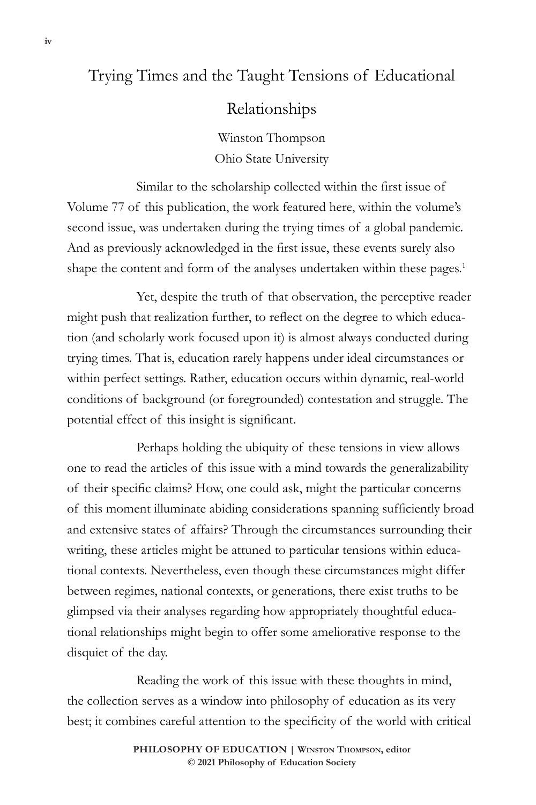## Trying Times and the Taught Tensions of Educational

## Relationships

Winston Thompson Ohio State University

 Similar to the scholarship collected within the first issue of Volume 77 of this publication, the work featured here, within the volume's second issue, was undertaken during the trying times of a global pandemic. And as previously acknowledged in the first issue, these events surely also shape the content and form of the analyses undertaken within these pages.<sup>1</sup>

Yet, despite the truth of that observation, the perceptive reader might push that realization further, to reflect on the degree to which education (and scholarly work focused upon it) is almost always conducted during trying times. That is, education rarely happens under ideal circumstances or within perfect settings. Rather, education occurs within dynamic, real-world conditions of background (or foregrounded) contestation and struggle. The potential effect of this insight is significant.

Perhaps holding the ubiquity of these tensions in view allows one to read the articles of this issue with a mind towards the generalizability of their specific claims? How, one could ask, might the particular concerns of this moment illuminate abiding considerations spanning sufficiently broad and extensive states of affairs? Through the circumstances surrounding their writing, these articles might be attuned to particular tensions within educational contexts. Nevertheless, even though these circumstances might differ between regimes, national contexts, or generations, there exist truths to be glimpsed via their analyses regarding how appropriately thoughtful educational relationships might begin to offer some ameliorative response to the disquiet of the day.

Reading the work of this issue with these thoughts in mind, the collection serves as a window into philosophy of education as its very best; it combines careful attention to the specificity of the world with critical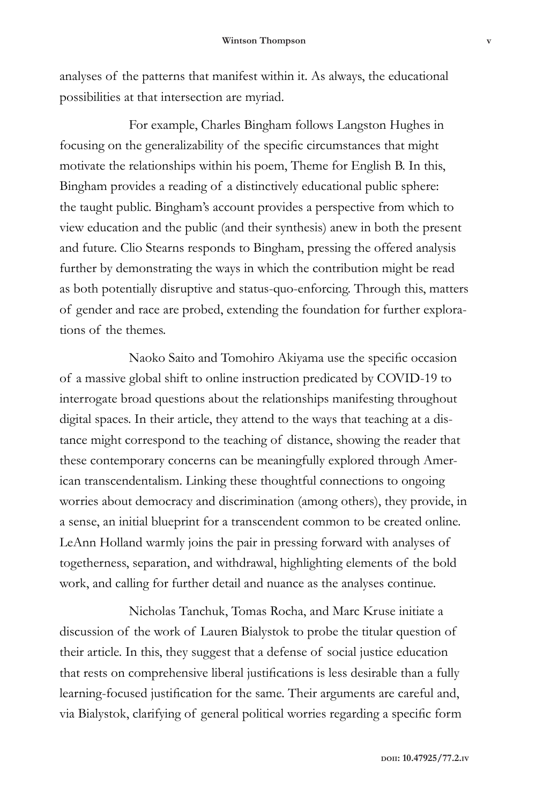analyses of the patterns that manifest within it. As always, the educational possibilities at that intersection are myriad.

 For example, Charles Bingham follows Langston Hughes in focusing on the generalizability of the specific circumstances that might motivate the relationships within his poem, Theme for English B. In this, Bingham provides a reading of a distinctively educational public sphere: the taught public. Bingham's account provides a perspective from which to view education and the public (and their synthesis) anew in both the present and future. Clio Stearns responds to Bingham, pressing the offered analysis further by demonstrating the ways in which the contribution might be read as both potentially disruptive and status-quo-enforcing. Through this, matters of gender and race are probed, extending the foundation for further explorations of the themes.

 Naoko Saito and Tomohiro Akiyama use the specific occasion of a massive global shift to online instruction predicated by COVID-19 to interrogate broad questions about the relationships manifesting throughout digital spaces. In their article, they attend to the ways that teaching at a distance might correspond to the teaching of distance, showing the reader that these contemporary concerns can be meaningfully explored through American transcendentalism. Linking these thoughtful connections to ongoing worries about democracy and discrimination (among others), they provide, in a sense, an initial blueprint for a transcendent common to be created online. LeAnn Holland warmly joins the pair in pressing forward with analyses of togetherness, separation, and withdrawal, highlighting elements of the bold work, and calling for further detail and nuance as the analyses continue.

Nicholas Tanchuk, Tomas Rocha, and Marc Kruse initiate a discussion of the work of Lauren Bialystok to probe the titular question of their article. In this, they suggest that a defense of social justice education that rests on comprehensive liberal justifications is less desirable than a fully learning-focused justification for the same. Their arguments are careful and, via Bialystok, clarifying of general political worries regarding a specific form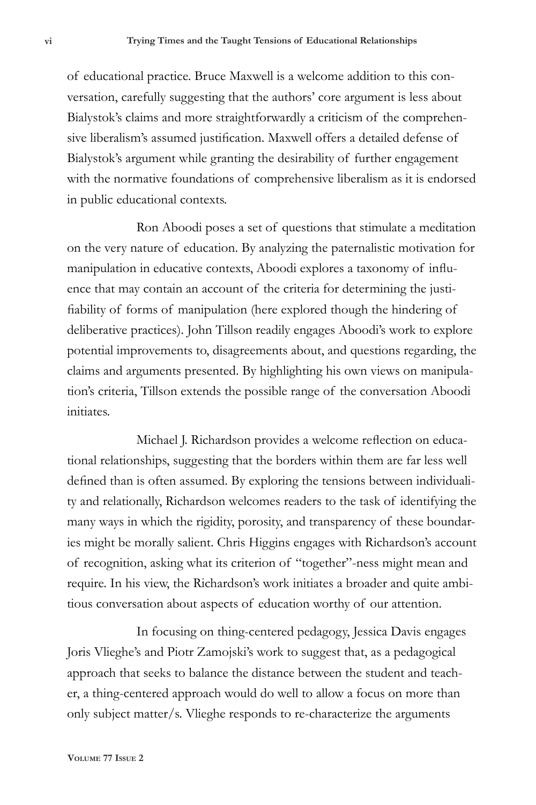of educational practice. Bruce Maxwell is a welcome addition to this conversation, carefully suggesting that the authors' core argument is less about Bialystok's claims and more straightforwardly a criticism of the comprehensive liberalism's assumed justification. Maxwell offers a detailed defense of Bialystok's argument while granting the desirability of further engagement with the normative foundations of comprehensive liberalism as it is endorsed in public educational contexts.

Ron Aboodi poses a set of questions that stimulate a meditation on the very nature of education. By analyzing the paternalistic motivation for manipulation in educative contexts, Aboodi explores a taxonomy of influence that may contain an account of the criteria for determining the justifiability of forms of manipulation (here explored though the hindering of deliberative practices). John Tillson readily engages Aboodi's work to explore potential improvements to, disagreements about, and questions regarding, the claims and arguments presented. By highlighting his own views on manipulation's criteria, Tillson extends the possible range of the conversation Aboodi initiates.

 Michael J. Richardson provides a welcome reflection on educational relationships, suggesting that the borders within them are far less well defined than is often assumed. By exploring the tensions between individuality and relationally, Richardson welcomes readers to the task of identifying the many ways in which the rigidity, porosity, and transparency of these boundaries might be morally salient. Chris Higgins engages with Richardson's account of recognition, asking what its criterion of "together"-ness might mean and require. In his view, the Richardson's work initiates a broader and quite ambitious conversation about aspects of education worthy of our attention.

In focusing on thing-centered pedagogy, Jessica Davis engages Joris Vlieghe's and Piotr Zamojski's work to suggest that, as a pedagogical approach that seeks to balance the distance between the student and teacher, a thing-centered approach would do well to allow a focus on more than only subject matter/s. Vlieghe responds to re-characterize the arguments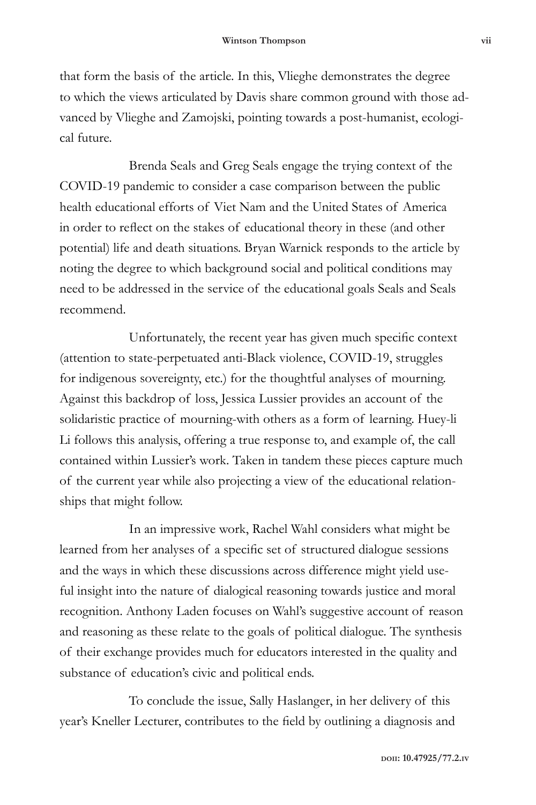that form the basis of the article. In this, Vlieghe demonstrates the degree to which the views articulated by Davis share common ground with those advanced by Vlieghe and Zamojski, pointing towards a post-humanist, ecological future.

Brenda Seals and Greg Seals engage the trying context of the COVID-19 pandemic to consider a case comparison between the public health educational efforts of Viet Nam and the United States of America in order to reflect on the stakes of educational theory in these (and other potential) life and death situations. Bryan Warnick responds to the article by noting the degree to which background social and political conditions may need to be addressed in the service of the educational goals Seals and Seals recommend.

 Unfortunately, the recent year has given much specific context (attention to state-perpetuated anti-Black violence, COVID-19, struggles for indigenous sovereignty, etc.) for the thoughtful analyses of mourning. Against this backdrop of loss, Jessica Lussier provides an account of the solidaristic practice of mourning-with others as a form of learning. Huey-li Li follows this analysis, offering a true response to, and example of, the call contained within Lussier's work. Taken in tandem these pieces capture much of the current year while also projecting a view of the educational relationships that might follow.

In an impressive work, Rachel Wahl considers what might be learned from her analyses of a specific set of structured dialogue sessions and the ways in which these discussions across difference might yield useful insight into the nature of dialogical reasoning towards justice and moral recognition. Anthony Laden focuses on Wahl's suggestive account of reason and reasoning as these relate to the goals of political dialogue. The synthesis of their exchange provides much for educators interested in the quality and substance of education's civic and political ends.

 To conclude the issue, Sally Haslanger, in her delivery of this year's Kneller Lecturer, contributes to the field by outlining a diagnosis and